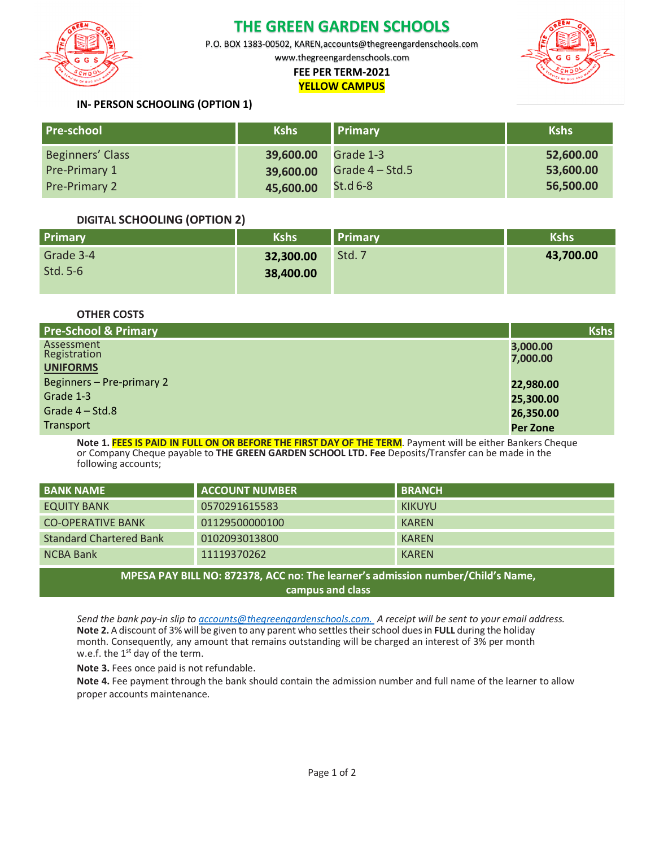

## **THE GREEN GARDEN SCHOOLS**

P.O. BOX 1383-00502, KAREN,accounts@thegreengardenschools.com

www.thegreengardenschools.com

#### **FEE PER TERM-2021 YELLOW CAMPUS**



### **IN- PERSON SCHOOLING (OPTION 1)**

| <b>Pre-school</b>    | <b>Kshs</b> | <b>Primary</b>    | <b>Kshs</b> |
|----------------------|-------------|-------------------|-------------|
| Beginners' Class     | 39,600.00   | Grade 1-3         | 52,600.00   |
| Pre-Primary 1        | 39,600.00   | Grade $4 - Std.5$ | 53,600.00   |
| <b>Pre-Primary 2</b> | 45,600.00   | $St.d6-8$         | 56,500.00   |

#### **DIGITAL SCHOOLING (OPTION 2)**

| Primary   | Kshs      | <b>Primary</b> | <b>Kshs</b> |
|-----------|-----------|----------------|-------------|
| Grade 3-4 | 32,300.00 | Std. 7         | 43,700.00   |
| Std. 5-6  | 38,400.00 |                |             |
|           |           |                |             |

**OTHER COSTS**

| <b>Pre-School &amp; Primary</b>               | <b>Kshs</b>          |
|-----------------------------------------------|----------------------|
| Assessment<br>Registration<br><b>UNIFORMS</b> | 3,000.00<br>7,000.00 |
| Beginners - Pre-primary 2                     | 22,980.00            |
| Grade 1-3                                     | 25,300.00            |
| Grade 4 – Std.8                               | 26,350.00            |
| Transport                                     | <b>Per Zone</b>      |

**Note 1. FEES IS PAID IN FULL ON OR BEFORE THE FIRST DAY OF THE TERM**. Payment will be either Bankers Cheque or Company Cheque payable to **THE GREEN GARDEN SCHOOL LTD. Fee** Deposits/Transfer can be made in the following accounts;

| <b>BANK NAME</b>                                                                | <b>ACCOUNT NUMBER</b> | <b>BRANCH</b> |  |  |
|---------------------------------------------------------------------------------|-----------------------|---------------|--|--|
| <b>EQUITY BANK</b>                                                              | 0570291615583         | <b>KIKUYU</b> |  |  |
| <b>CO-OPERATIVE BANK</b>                                                        | 01129500000100        | <b>KAREN</b>  |  |  |
| <b>Standard Chartered Bank</b>                                                  | 0102093013800         | <b>KAREN</b>  |  |  |
| <b>NCBA Bank</b>                                                                | 11119370262           | <b>KAREN</b>  |  |  |
| MPESA PAY BILL NO: 872378, ACC no: The learner's admission number/Child's Name, |                       |               |  |  |

**campus and class**

*Send the bank pay-in slip to accounts@thegreengardenschools.com. A receipt will be sent to your email address.* **Note 2.** A discount of 3% will be given to any parent who settles theirschool duesin **FULL** during the holiday month. Consequently, any amount that remains outstanding will be charged an interest of 3% per month w.e.f. the  $1<sup>st</sup>$  day of the term.

**Note 3.** Fees once paid is not refundable.

**Note 4.** Fee payment through the bank should contain the admission number and full name of the learner to allow proper accounts maintenance.